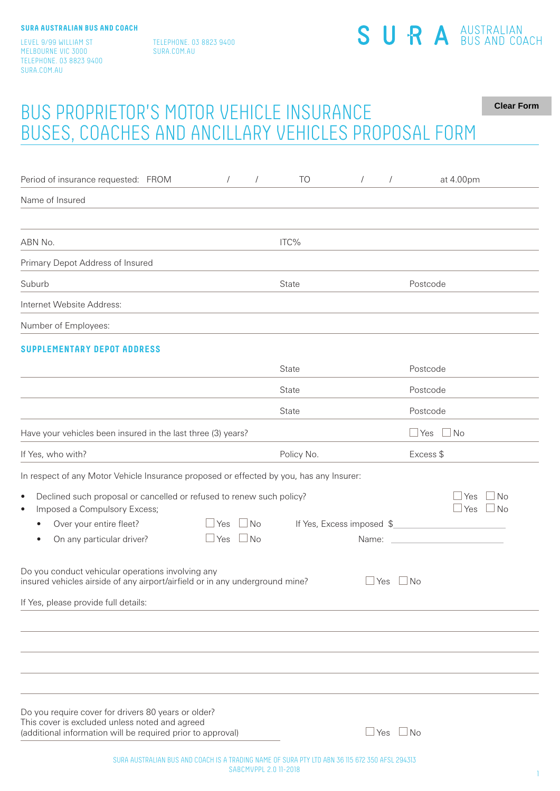LEVEL 9/99 WILLIAM ST MELBOURNE VIC 3000 TELEPHONE. 03 8823 9400 SURA.COM.AU

TELEPHONE. 03 8823 9400 SURA.COM.AU

## SURA<sup>AUSTRALIAN</sup>

### BUS PROPRIETOR'S MOTOR VEHICLE INSURANCE BUSES, COACHES AND ANCILLARY VEHICLES PROPOSAL FORM **Clear Form**

| Period of insurance requested: FROM<br>$\sqrt{2}$<br>$\sqrt{2}$                                                                                                                                                                              | TO           | $\sqrt{2}$<br>$\sqrt{2}$           | at 4.00pm                                                                              |
|----------------------------------------------------------------------------------------------------------------------------------------------------------------------------------------------------------------------------------------------|--------------|------------------------------------|----------------------------------------------------------------------------------------|
| Name of Insured                                                                                                                                                                                                                              |              |                                    |                                                                                        |
| ABN No.                                                                                                                                                                                                                                      | ITC%         |                                    |                                                                                        |
| Primary Depot Address of Insured                                                                                                                                                                                                             |              |                                    |                                                                                        |
| Suburb                                                                                                                                                                                                                                       | State        |                                    | Postcode                                                                               |
| Internet Website Address:                                                                                                                                                                                                                    |              |                                    |                                                                                        |
| Number of Employees:                                                                                                                                                                                                                         |              |                                    |                                                                                        |
| <b>SUPPLEMENTARY DEPOT ADDRESS</b>                                                                                                                                                                                                           |              |                                    |                                                                                        |
|                                                                                                                                                                                                                                              | <b>State</b> |                                    | Postcode                                                                               |
|                                                                                                                                                                                                                                              | State        |                                    | Postcode                                                                               |
|                                                                                                                                                                                                                                              | State        |                                    | Postcode                                                                               |
| Have your vehicles been insured in the last three (3) years?                                                                                                                                                                                 |              |                                    | $\exists$ No<br>$\Box$ Yes                                                             |
| If Yes, who with?                                                                                                                                                                                                                            | Policy No.   |                                    | Excess \$                                                                              |
| In respect of any Motor Vehicle Insurance proposed or effected by you, has any Insurer:                                                                                                                                                      |              |                                    |                                                                                        |
| Declined such proposal or cancelled or refused to renew such policy?<br>$\bullet$<br>Imposed a Compulsory Excess;<br>$\bullet$<br>$\Box$ Yes<br>$\Box$ No<br>Over your entire fleet?<br>On any particular driver?<br>$\Box$ Yes<br>$\Box$ No |              | If Yes, Excess imposed \$<br>Name: | $\Box$ Yes<br>  No<br>$\Box$ Yes $\Box$ No<br><u> 1980 - Johann Barbara, martxa al</u> |
| Do you conduct vehicular operations involving any<br>insured vehicles airside of any airport/airfield or in any underground mine?<br>If Yes, please provide full details:                                                                    |              | $\sqcup$ Yes<br>$\Box$ No          |                                                                                        |
|                                                                                                                                                                                                                                              |              |                                    |                                                                                        |
| Do you require cover for drivers 80 years or older?<br>This cover is excluded unless noted and agreed<br>(additional information will be required prior to approval)                                                                         |              | $\Box$ No<br>$\sqcup$ Yes          |                                                                                        |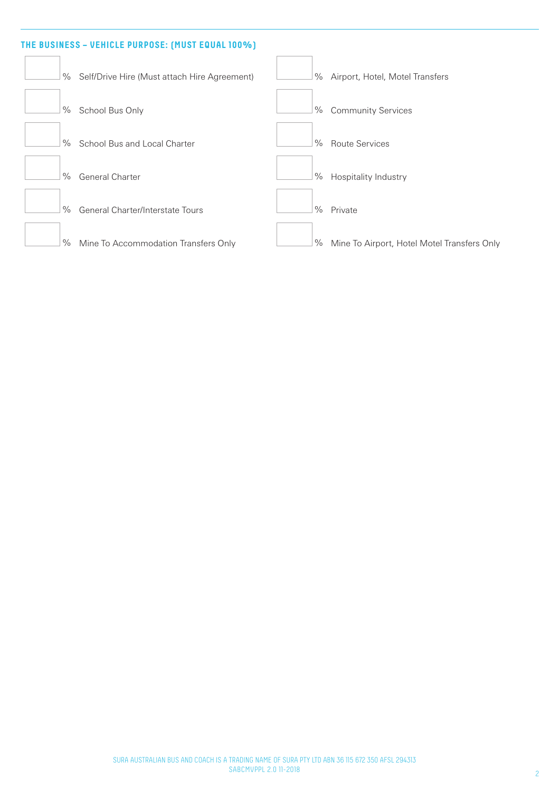# **THE BUSINESS – VEHICLE PURPOSE: (MUST EQUAL 100%)** % Self/Drive Hire (Must attach Hire Agreement) % Airport, Hotel, Motel Transfers **1%** School Bus Only **Superior** Services **Community Services** % School Bus and Local Charter **1990** Metal 2008 Route Services % General Charter  $\Box$  % Hospitality Industry <sup>9</sup>% General Charter/Interstate Tours **Container 1986** Private % Mine To Accommodation Transfers Only % Mine To Airport, Hotel Motel Transfers Only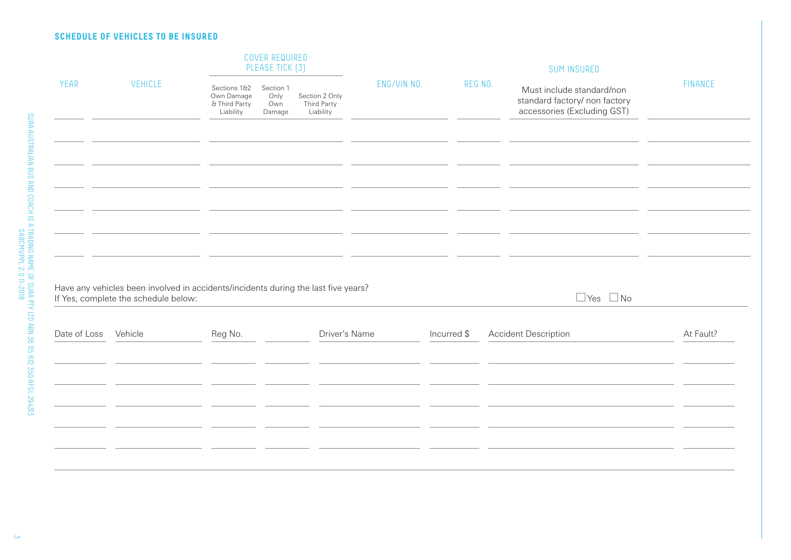#### **SCHEDULE OF VEHICLES TO BE INSURED**

|              |                                                                                                                            | COVER REQUIRED<br>PLEASE TICK [3]                        |                                    |                                            |             | <b>SUM INSURED</b> |                                                                                           |                |
|--------------|----------------------------------------------------------------------------------------------------------------------------|----------------------------------------------------------|------------------------------------|--------------------------------------------|-------------|--------------------|-------------------------------------------------------------------------------------------|----------------|
| YEAR         | <b>VEHICLE</b>                                                                                                             | Sections 1&2<br>Own Damage<br>& Third Party<br>Liability | Section 1<br>Only<br>Own<br>Damage | Section 2 Only<br>Third Party<br>Liability | ENG/VIN NO. | REG NO.            | Must include standard/non<br>standard factory/ non factory<br>accessories (Excluding GST) | <b>FINANCE</b> |
|              |                                                                                                                            |                                                          |                                    |                                            |             |                    |                                                                                           |                |
|              |                                                                                                                            |                                                          |                                    |                                            |             |                    |                                                                                           |                |
|              |                                                                                                                            |                                                          |                                    |                                            |             |                    |                                                                                           |                |
|              |                                                                                                                            |                                                          |                                    |                                            |             |                    |                                                                                           |                |
|              | Have any vehicles been involved in accidents/incidents during the last five years?<br>If Yes, complete the schedule below: |                                                          |                                    |                                            |             |                    | $\Box$ Yes $\Box$ No                                                                      |                |
| Date of Loss | Vehicle                                                                                                                    | Reg No.                                                  |                                    | Driver's Name                              |             | Incurred \$        | <b>Accident Description</b>                                                               | At Fault?      |
|              |                                                                                                                            |                                                          |                                    |                                            |             |                    |                                                                                           |                |
|              |                                                                                                                            |                                                          |                                    |                                            |             |                    |                                                                                           |                |
|              |                                                                                                                            |                                                          |                                    |                                            |             |                    |                                                                                           |                |
|              |                                                                                                                            |                                                          |                                    |                                            |             |                    |                                                                                           |                |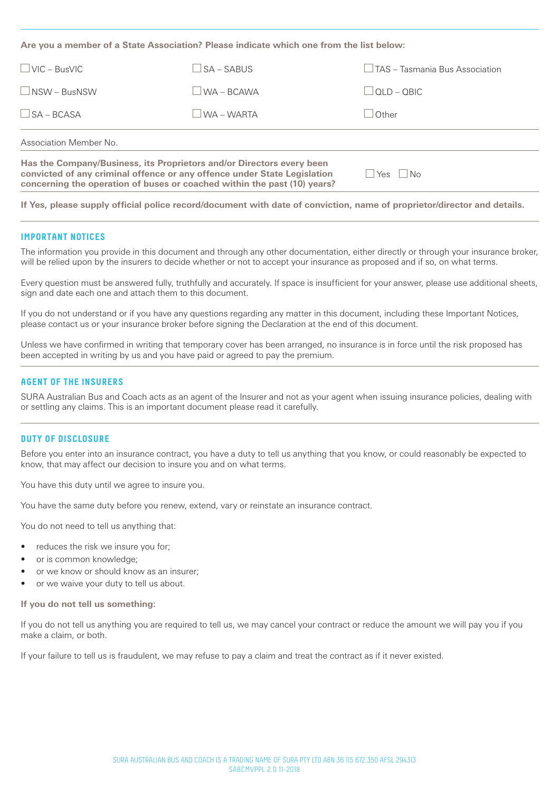**Are you a member of a State Association? Please indicate which one from the list below:**

| $\Box$ VIC – BusVIC  | $\bigcap$ SA – SABUS | $\Box$ TAS – Tasmania Bus Association |
|----------------------|----------------------|---------------------------------------|
| $\Box$ NSW – BusNSW  | $\Box$ WA – BCAWA    | $\Box$ QLD – QBIC                     |
| $\square$ SA – BCASA | WA – WARTA           | Other                                 |
|                      |                      |                                       |

Association Member No.

**Has the Company/Business, its Proprietors and/or Directors every been convicted of any criminal offence or any offence under State Legislation concerning the operation of buses or coached within the past (10) years?**

 $\Box$ Yes  $\Box$ No

**If Yes, please supply official police record/document with date of conviction, name of proprietor/director and details.**

#### **IMPORTANT NOTICES**

The information you provide in this document and through any other documentation, either directly or through your insurance broker, will be relied upon by the insurers to decide whether or not to accept your insurance as proposed and if so, on what terms.

Every question must be answered fully, truthfully and accurately. If space is insufficient for your answer, please use additional sheets, sign and date each one and attach them to this document.

If you do not understand or if you have any questions regarding any matter in this document, including these Important Notices, please contact us or your insurance broker before signing the Declaration at the end of this document.

Unless we have confirmed in writing that temporary cover has been arranged, no insurance is in force until the risk proposed has been accepted in writing by us and you have paid or agreed to pay the premium.

#### **AGENT OF THE INSURERS**

SURA Australian Bus and Coach acts as an agent of the Insurer and not as your agent when issuing insurance policies, dealing with or settling any claims. This is an important document please read it carefully.

#### **DUTY OF DISCLOSURE**

Before you enter into an insurance contract, you have a duty to tell us anything that you know, or could reasonably be expected to know, that may affect our decision to insure you and on what terms.

You have this duty until we agree to insure you.

You have the same duty before you renew, extend, vary or reinstate an insurance contract.

You do not need to tell us anything that:

- reduces the risk we insure you for;
- or is common knowledge;
- or we know or should know as an insurer;
- or we waive your duty to tell us about.

**If you do not tell us something:**

If you do not tell us anything you are required to tell us, we may cancel your contract or reduce the amount we will pay you if you make a claim, or both.

If your failure to tell us is fraudulent, we may refuse to pay a claim and treat the contract as if it never existed.